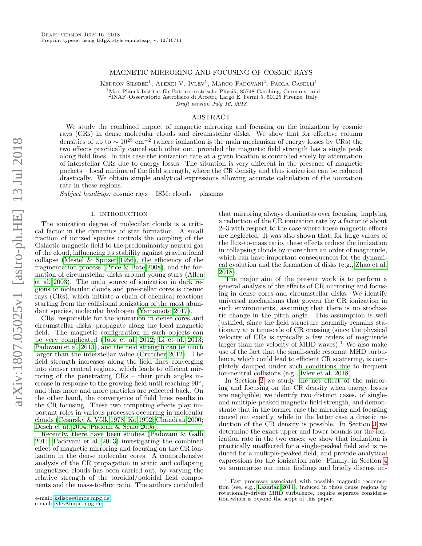# MAGNETIC MIRRORING AND FOCUSING OF COSMIC RAYS

KEDRON SILSBEE<sup>1</sup>, ALEXEI V. IVLEV<sup>1</sup>, MARCO PADOVANI<sup>2</sup>, PAOLA CASELLI<sup>1</sup>  $1$ Max-Planck-Institut für Extraterrestrische Physik, 85748 Garching, Germany and 2 INAF–Osservatorio Astrofisico di Arcetri, Largo E. Fermi 5, 50125 Firenze, Italy

Draft version July 16, 2018

# ABSTRACT

We study the combined impact of magnetic mirroring and focusing on the ionization by cosmic rays (CRs) in dense molecular clouds and circumstellar disks. We show that for effective column densities of up to  $\sim 10^{25}$  cm<sup>-2</sup> (where ionization is the main mechanism of energy losses by CRs) the two effects practically cancel each other out, provided the magnetic field strength has a single peak along field lines. In this case the ionization rate at a given location is controlled solely by attenuation of interstellar CRs due to energy losses. The situation is very different in the presence of magnetic pockets – local minima of the field strength, where the CR density and thus ionization can be reduced drastically. We obtain simple analytical expressions allowing accurate calculation of the ionization rate in these regions.

Subject headings: cosmic rays – ISM: clouds – plasmas

#### 1. INTRODUCTION

The ionization degree of molecular clouds is a critical factor in the dynamics of star formation. A small fraction of ionized species controls the coupling of the Galactic magnetic field to the predominantly neutral gas of the cloud, influencing its stability against gravitational collapse (Mestel  $&$  Spitzer 1956), the efficiency of the fragmentation process [\(Price & Bate 2008\)](#page-7-1), and the formation of circumstellar disks around young stars [\(Allen](#page-7-2) [et al. 2003\)](#page-7-2). The main source of ionization in dark regions of molecular clouds and pre-stellar cores is cosmic rays (CRs), which initiate a chain of chemical reactions starting from the collisional ionization of the most abundant species, molecular hydrogen [\(Yamamoto 2017\)](#page-7-3).

CRs, responsible for the ionization in dense cores and circumstellar disks, propagate along the local magnetic field. The magnetic configuration in such objects can be very complicated [\(Joos et al. 2012;](#page-7-4) [Li et al. 2013;](#page-7-5) [Padovani et al. 2013\)](#page-7-6), and the field strength can be much larger than the interstellar value [\(Crutcher 2012\)](#page-7-7). The field strength increases along the field lines converging into denser central regions, which leads to efficient mirroring of the penetrating CRs – their pitch angles increase in response to the growing field until reaching 90°, and thus more and more particles are reflected back. On the other hand, the convergence of field lines results in the CR focusing. These two competing effects play important roles in various processes occurring in molecular clouds (Cesarsky  $&$  Völk 1978; [Ko 1992;](#page-7-9) [Chandran 2000;](#page-7-10) [Desch et al. 2004;](#page-7-11) [Padoan & Scalo 2005\)](#page-7-12).

Recently, there have been studies [\(Padovani & Galli](#page-7-13) [2011;](#page-7-13) [Padovani et al. 2013\)](#page-7-6) investigating the combined effect of magnetic mirroring and focusing on the CR ionization in the dense molecular cores. A comprehensive analysis of the CR propagation in static and collapsing magnetized clouds has been carried out, by varying the relative strength of the toroidal/poloidal field components and the mass-to-flux ratio. The authors concluded

e-mail: [ksilsbee@mpe.mpg.de](mailto:ksilsbee@mpe.mpg.de) e-mail: [ivlev@mpe.mpg.de](mailto:ivlev@mpe.mpg.de)

that mirroring always dominates over focusing, implying a reduction of the CR ionization rate by a factor of about 2–3 with respect to the case where these magnetic effects are neglected. It was also shown that, for large values of the flux-to-mass ratio, these effects reduce the ionization in collapsing clouds by more than an order of magnitude, which can have important consequences for the dynamical evolution and the formation of disks (e.g., [Zhao et al.](#page-7-14) [2018\)](#page-7-14).

The major aim of the present work is to perform a general analysis of the effects of CR mirroring and focusing in dense cores and circumstellar disks. We identify universal mechanisms that govern the CR ionization in such environments, assuming that there is no stochastic change in the pitch angle. This assumption is well justified, since the field structure normally remains stationary at a timescale of CR crossing (since the physical velocity of CRs is typically a few orders of magnitude larger than the velocity of MHD waves).<sup>1</sup> We also make use of the fact that the small-scale resonant MHD turbulence, which could lead to efficient CR scattering, is completely damped under such conditions due to frequent ion-neutral collisions (e.g., [Ivlev et al. 2018\)](#page-7-15).

In Section [2](#page-1-0) we study the net effect of the mirroring and focusing on the CR density when energy losses are negligible; we identify two distinct cases, of singleand multiple-peaked magnetic field strength, and demonstrate that in the former case the mirroring and focusing cancel out exactly, while in the latter case a drastic reduction of the CR density is possible. In Section [3](#page-2-0) we determine the exact upper and lower bounds for the ionization rate in the two cases; we show that ionization is practically unaffected for a single-peaked field and is reduced for a multiple-peaked field, and provide analytical expressions for the ionization rate. Finally, in Section [4](#page-5-0) we summarize our main findings and briefly discuss im-

Fast processes associated with possible magnetic reconnection (see, e.g., [Lazarian 2014\)](#page-7-16), induced in these dense regions by rotationally-driven MHD turbulence, require separate consideration which is beyond the scope of this paper.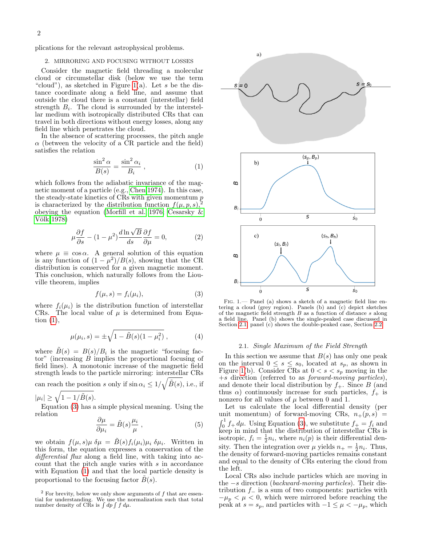plications for the relevant astrophysical problems.

#### <span id="page-1-0"></span>2. MIRRORING AND FOCUSING WITHOUT LOSSES

Consider the magnetic field threading a molecular cloud or circumstellar disk (below we use the term "cloud"), as sketched in Figure [1\(](#page-1-1)a). Let s be the distance coordinate along a field line, and assume that outside the cloud there is a constant (interstellar) field strength  $B_i$ . The cloud is surrounded by the interstellar medium with isotropically distributed CRs that can travel in both directions without energy losses, along any field line which penetrates the cloud.

In the absence of scattering processes, the pitch angle  $\alpha$  (between the velocity of a CR particle and the field) satisfies the relation

<span id="page-1-2"></span>
$$
\frac{\sin^2 \alpha}{B(s)} = \frac{\sin^2 \alpha_i}{B_i} , \qquad (1)
$$

which follows from the adiabatic invariance of the magnetic moment of a particle (e.g., [Chen 1974\)](#page-7-17). In this case, the steady-state kinetics of CRs with given momentum  $p$ is characterized by the distribution function  $f(\mu, p, s)$ , obeying the equation [\(Morfill et al. 1976;](#page-7-18) [Cesarsky &](#page-7-8) Völk 1978)

<span id="page-1-5"></span>
$$
\mu \frac{\partial f}{\partial s} - (1 - \mu^2) \frac{d \ln \sqrt{B}}{ds} \frac{\partial f}{\partial \mu} = 0,
$$
\n(2)

where  $\mu \equiv \cos \alpha$ . A general solution of this equation is any function of  $(1 - \mu^2)/B(s)$ , showing that the CR distribution is conserved for a given magnetic moment. This conclusion, which naturally follows from the Liouville theorem, implies

<span id="page-1-3"></span>
$$
f(\mu, s) = f_i(\mu_i),\tag{3}
$$

where  $f_i(\mu_i)$  is the distribution function of interstellar CRs. The local value of  $\mu$  is determined from Equation  $(1)$ ,

<span id="page-1-6"></span>
$$
\mu(\mu_i, s) = \pm \sqrt{1 - \tilde{B}(s)(1 - \mu_i^2)}, \qquad (4)
$$

where  $\tilde{B}(s) = B(s)/B_i$  is the magnetic "focusing factor" (increasing B implies the proportional focusing of field lines). A monotonic increase of the magnetic field strength leads to the particle mirroring: interstellar CRs can reach the position s only if  $\sin \alpha_i \leq 1/\sqrt{\tilde{B}(s)}$ , i.e., if  $|\mu_i| \geq \sqrt{1-1/\tilde{B}(s)}.$ 

Equation [\(3\)](#page-1-3) has a simple physical meaning. Using the relation

<span id="page-1-7"></span>
$$
\frac{\partial \mu}{\partial \mu_i} = \tilde{B}(s) \frac{\mu_i}{\mu} , \qquad (5)
$$

we obtain  $f(\mu, s)\mu \ \delta\mu = \tilde{B}(s)f_i(\mu_i)\mu_i \ \delta\mu_i$ . Written in this form, the equation expresses a conservation of the differential flux along a field line, with taking into account that the pitch angle varies with  $s$  in accordance with Equation [\(1\)](#page-1-2) and that the local particle density is proportional to the focusing factor  $B(s)$ .



<span id="page-1-1"></span>Fig. 1.— Panel (a) shows a sketch of a magnetic field line entering a cloud (grey region). Panels (b) and  $(c)$  depict sketches of the magnetic field strength B as a function of distance s along a field line. Panel (b) shows the single-peaked case discussed in Section [2.1,](#page-1-4) panel (c) shows the double-peaked case, Section [2.2.](#page-2-1)

# 2.1. Single Maximum of the Field Strength

<span id="page-1-4"></span>In this section we assume that  $B(s)$  has only one peak on the interval  $0 \leq s \leq s_0$ , located at  $s_p$ , as shown in Figure [1\(](#page-1-1)b). Consider CRs at  $0 < s < s_p$  moving in the +s direction (referred to as forward-moving particles), and denote their local distribution by  $f_{+}$ . Since B (and thus  $\alpha$ ) continuously increase for such particles,  $f_+$  is nonzero for all values of  $\mu$  between 0 and 1.

Let us calculate the local differential density (per unit momentum) of forward-moving CRs,  $n_{+}(p, s)$  =  $\int_0^1 f_+ d\mu$ . Using Equation [\(3\)](#page-1-3), we substitute  $f_+ = f_i$  and keep in mind that the distribution of interstellar CRs is isotropic,  $f_i = \frac{1}{2}n_i$ , where  $n_i(p)$  is their differential density. Then the integration over  $\mu$  yields  $n_+ = \frac{1}{2}n_i$ . Thus, the density of forward-moving particles remains constant and equal to the density of CRs entering the cloud from the left.

Local CRs also include particles which are moving in the −s direction (backward-moving particles). Their distribution  $f_$  is a sum of two components: particles with  $-\mu_p < \mu < 0$ , which were mirrored before reaching the peak at  $s = s_p$ , and particles with  $-1 \leq \mu < -\mu_p$ , which

 $^{2}$  For brevity, below we only show arguments of f that are essential for understanding. We use the normalization such that total number density of CRs is  $\int dp \int f d\mu$ .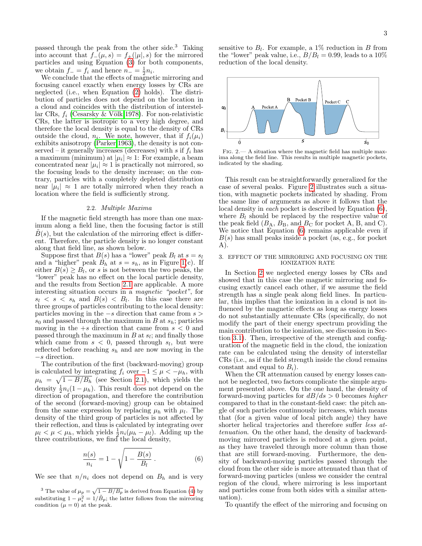passed through the peak from the other side.<sup>3</sup> Taking into account that  $f_-(\mu, s) = f_+(\vert \mu \vert, s)$  for the mirrored particles and using Equation [\(3\)](#page-1-3) for both components, we obtain  $f_{-} = f_i$  and hence  $n_{-} = \frac{1}{2}n_i$ .

We conclude that the effects of magnetic mirroring and focusing cancel exactly when energy losses by CRs are neglected (i.e., when Equation [\(2\)](#page-1-5) holds). The distribution of particles does not depend on the location in a cloud and coincides with the distribution of interstellar CRs,  $f_i$  (Cesarsky & Völk 1978). For non-relativistic CRs, the latter is isotropic to a very high degree, and therefore the local density is equal to the density of CRs outside the cloud,  $n_i$ . We note, however, that if  $f_i(\mu_i)$ exhibits anisotropy [\(Parker 1963\)](#page-7-19), the density is not conserved – it generally increases (decreases) with s if  $f_i$  has a maximum (minimum) at  $|\mu_i| \approx 1$ : For example, a beam concentrated near  $|\mu_i| \approx 1$  is practically not mirrored, so the focusing leads to the density increase; on the contrary, particles with a completely depleted distribution near  $|\mu_i| \approx 1$  are totally mirrored when they reach a location where the field is sufficiently strong.

# 2.2. Multiple Maxima

<span id="page-2-1"></span>If the magnetic field strength has more than one maximum along a field line, then the focusing factor is still  $B(s)$ , but the calculation of the mirroring effect is different. Therefore, the particle density is no longer constant along that field line, as shown below.

Suppose first that  $B(s)$  has a "lower" peak  $B_l$  at  $s = s_l$ and a "higher" peak  $B_h$  at  $s = s_h$ , as in Figure [1\(](#page-1-1)c). If either  $B(s) \geq B_l$ , or s is not between the two peaks, the "lower" peak has no effect on the local particle density, and the results from Section [2.1](#page-1-4) are applicable. A more interesting situation occurs in a magnetic "pocket", for  $s_l \leq s \leq s_h$  and  $B(s) \leq B_l$ . In this case there are three groups of particles contributing to the local density: particles moving in the  $-s$  direction that came from  $s >$  $s_0$  and passed through the maximum in B at  $s_h$ ; particles moving in the  $+s$  direction that came from  $s < 0$  and passed through the maximum in  $B$  at  $s<sub>l</sub>$ ; and finally those which came from  $s < 0$ , passed through  $s_l$ , but were reflected before reaching  $s_h$  and are now moving in the −s direction.

The contribution of the first (backward-moving) group is calculated by integrating  $f_i$  over  $-1 \leq \mu < -\mu_h$ , with  $\mu_h = \sqrt{1 - B/B_h}$  (see Section [2.1\)](#page-1-4), which yields the density  $\frac{1}{2}n_i(1-\mu_h)$ . This result does not depend on the direction of propagation, and therefore the contribution of the second (forward-moving) group can be obtained from the same expression by replacing  $\mu_h$  with  $\mu_l$ . The density of the third group of particles is not affected by their reflection, and thus is calculated by integrating over  $\mu_l < \mu < \mu_h$ , which yields  $\frac{1}{2}n_i(\mu_h - \mu_l)$ . Adding up the three contributions, we find the local density,

<span id="page-2-3"></span>
$$
\frac{n(s)}{n_i} = 1 - \sqrt{1 - \frac{B(s)}{B_l}}.
$$
\n(6)

We see that  $n/n_i$  does not depend on  $B_h$  and is very

<sup>3</sup> The value of  $\mu_p = \sqrt{1 - B/B_p}$  is derived from Equation [\(4\)](#page-1-6) by substituting  $1 - \mu_i^2 = 1/\tilde{B}_p$ ; the latter follows from the mirroring condition  $(\mu = 0)$  at the peak.

sensitive to  $B_l$ . For example, a 1% reduction in B from the "lower" peak value, i.e.,  $B/B_l = 0.99$ , leads to a 10% reduction of the local density.



<span id="page-2-2"></span>Fig. 2.— A situation where the magnetic field has multiple maxima along the field line. This results in multiple magnetic pockets, indicated by the shading.

This result can be straightforwardly generalized for the case of several peaks. Figure [2](#page-2-2) illustrates such a situation, with magnetic pockets indicated by shading. From the same line of arguments as above it follows that the local density in each pocket is described by Equation [\(6\)](#page-2-3), where  $B_l$  should be replaced by the respective value of the peak field  $(B_A, B_B, \text{ and } B_C \text{ for pocket A}, B, \text{ and C}).$ We notice that Equation [\(6\)](#page-2-3) remains applicable even if  $B(s)$  has small peaks inside a pocket (as, e.g., for pocket A).

# <span id="page-2-0"></span>3. EFFECT OF THE MIRRORING AND FOCUSING ON THE IONIZATION RATE

In Section [2](#page-1-0) we neglected energy losses by CRs and showed that in this case the magnetic mirroring and focusing exactly cancel each other, if we assume the field strength has a single peak along field lines. In particular, this implies that the ionization in a cloud is not influenced by the magnetic effects as long as energy losses do not substantially attenuate CRs (specifically, do not modify the part of their energy spectrum providing the main contribution to the ionization, see discussion in Section [3.1\)](#page-3-0). Then, irrespective of the strength and configuration of the magnetic field in the cloud, the ionization rate can be calculated using the density of interstellar CRs (i.e., as if the field strength inside the cloud remains constant and equal to  $B_i$ ).

When the CR attenuation caused by energy losses cannot be neglected, two factors complicate the simple argument presented above. On the one hand, the density of forward-moving particles for  $dB/ds > 0$  becomes higher compared to that in the constant-field case: the pitch angle of such particles continuously increases, which means that (for a given value of local pitch angle) they have shorter helical trajectories and therefore suffer less attenuation. On the other hand, the density of backwardmoving mirrored particles is reduced at a given point, as they have traveled through more column than those that are still forward-moving. Furthermore, the density of backward-moving particles passed through the cloud from the other side is more attenuated than that of forward-moving particles (unless we consider the central region of the cloud, where mirroring is less important and particles come from both sides with a similar attenuation).

To quantify the effect of the mirroring and focusing on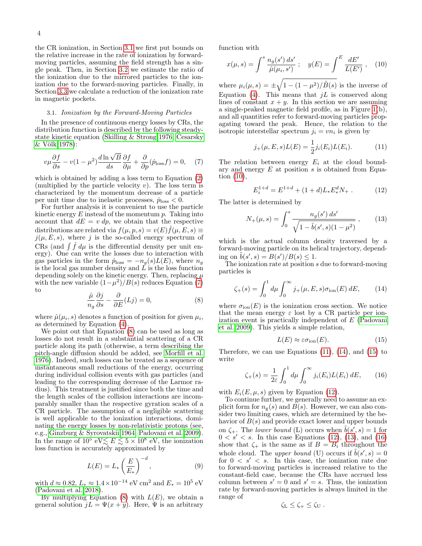the CR ionization, in Section [3.1](#page-3-0) we first put bounds on the relative increase in the rate of ionization by forwardmoving particles, assuming the field strength has a single peak. Then, in Section [3.2](#page-4-0) we estimate the ratio of the ionization due to the mirrored particles to the ionization due to the forward-moving particles. Finally, in Section [3.3](#page-5-1) we calculate a reduction of the ionization rate in magnetic pockets.

# 3.1. Ionization by the Forward-Moving Particles

<span id="page-3-0"></span>In the presence of continuous energy losses by CRs, the distribution function is described by the following steadystate kinetic equation [\(Skilling & Strong 1976;](#page-7-20) [Cesarsky](#page-7-8) [& V¨olk 1978\)](#page-7-8):

<span id="page-3-1"></span>
$$
v\mu \frac{\partial f}{\partial s} - v(1 - \mu^2) \frac{d \ln \sqrt{B}}{ds} \frac{\partial f}{\partial \mu} + \frac{\partial}{\partial p}(\dot{p}_{\text{loss}}f) = 0, \quad (7)
$$

which is obtained by adding a loss term to Equation [\(2\)](#page-1-5) (multiplied by the particle velocity  $v$ ). The loss term is characterized by the momentum decrease of a particle per unit time due to inelastic processes,  $\dot{p}_{loss} < 0$ .

For further analysis it is convenient to use the particle kinetic energy  $E$  instead of the momentum  $p$ . Taking into account that  $dE = v dp$ , we obtain that the respective distributions are related via  $f(\mu, p, s) = v(E) \hat{f}(\mu, E, s) \equiv$  $j(\mu, E, s)$ , where j is the so-called energy spectrum of CRs (and  $\int \hat{f} d\mu$  is the differential density per unit energy). One can write the losses due to interaction with gas particles in the form  $\dot{p}_{\text{loss}} = -n_g(s)L(E)$ , where  $n_g$ is the local gas number density and  $\tilde{L}$  is the loss function depending solely on the kinetic energy. Then, replacing  $\mu$ with the new variable  $(1-\mu^2)/B(s)$  reduces Equation [\(7\)](#page-3-1) to

<span id="page-3-2"></span>
$$
\frac{\hat{\mu}}{n_g} \frac{\partial j}{\partial s} - \frac{\partial}{\partial E}(Lj) = 0,\tag{8}
$$

where  $\hat{\mu}(\mu_i, s)$  denotes a function of position for given  $\mu_i$ , as determined by Equation [\(4\)](#page-1-6).

We point out that Equation [\(8\)](#page-3-2) can be used as long as losses do not result in a substantial scattering of a CR particle along its path (otherwise, a term describing the pitch-angle diffusion should be added, see [Morfill et al.](#page-7-18) [1976\)](#page-7-18). Indeed, such losses can be treated as a sequence of instantaneous small reductions of the energy, occurring during individual collision events with gas particles (and leading to the corresponding decrease of the Larmor radius). This treatment is justified since both the time and the length scales of the collision interactions are incomparably smaller than the respective gyration scales of a CR particle. The assumption of a negligible scattering is well applicable to the ionization interactions, dominating the energy losses by non-relativistic protons (see, e.g., [Ginzburg & Syrovatskii 1964;](#page-7-21) [Padovani et al. 2009\)](#page-7-22). In the range of  $10^5$  eV $\lesssim E \lesssim 5 \times 10^8$  eV, the ionization loss function is accurately approximated by

<span id="page-3-10"></span>
$$
L(E) = L_* \left(\frac{E}{E_*}\right)^{-d},\tag{9}
$$

with  $d \approx 0.82, L_* \approx 1.4 \times 10^{-14}$  eV cm<sup>2</sup> and  $E_* = 10^5$  eV [\(Padovani et al. 2018\)](#page-7-23).

By multiplying Equation  $(8)$  with  $L(E)$ , we obtain a general solution  $jL = \Psi(x + y)$ . Here,  $\Psi$  is an arbitrary

function with

<span id="page-3-3"></span>
$$
x(\mu, s) = \int^s \frac{n_g(s') \, ds'}{\hat{\mu}(\mu_i, s')} \; ; \quad y(E) = \int^E \frac{dE'}{L(E')} \; , \quad (10)
$$

where  $\mu_i(\mu, s) = \pm \sqrt{1 - (1 - \mu^2)/\tilde{B}(s)}$  is the inverse of Equation [\(4\)](#page-1-6). This means that  $jL$  is conserved along lines of constant  $x + y$ . In this section we are assuming a single-peaked magnetic field profile, as in Figure [1\(](#page-1-1)b), and all quantities refer to forward-moving particles propagating toward the peak. Hence, the relation to the isotropic interstellar spectrum  $j_i = v n_i$  is given by

<span id="page-3-4"></span>
$$
j_{+}(\mu, E, s)L(E) = \frac{1}{2}j_{i}(E_{i})L(E_{i}).
$$
 (11)

The relation between energy  $E_i$  at the cloud boundary and energy  $E$  at position  $s$  is obtained from Equation [\(10\)](#page-3-3),

<span id="page-3-7"></span>
$$
E_i^{1+d} = E^{1+d} + (1+d)L_*E_*^d N_+ \,. \tag{12}
$$

The latter is determined by

<span id="page-3-8"></span>
$$
N_{+}(\mu, s) = \int_{0}^{s} \frac{n_{g}(s') ds'}{\sqrt{1 - \tilde{b}(s', s)(1 - \mu^2)}}, \quad (13)
$$

which is the actual column density traversed by a forward-moving particle on its helical trajectory, depending on  $\tilde{b}(s', s) = B(s')/B(s) \leq 1$ .

The ionization rate at position  $s$  due to forward-moving particles is

<span id="page-3-5"></span>
$$
\zeta_{+}(s) = \int_{0}^{1} d\mu \int_{0}^{\infty} j_{+}(\mu, E, s) \sigma_{\text{ion}}(E) \, dE, \qquad (14)
$$

where  $\sigma_{\text{ion}}(E)$  is the ionization cross section. We notice that the mean energy  $\varepsilon$  lost by a CR particle per ionization event is practically independent of E [\(Padovani](#page-7-22) [et al. 2009\)](#page-7-22). This yields a simple relation,

<span id="page-3-6"></span>
$$
L(E) \approx \varepsilon \sigma_{\text{ion}}(E). \tag{15}
$$

Therefore, we can use Equations  $(11)$ ,  $(14)$ , and  $(15)$  to write

<span id="page-3-9"></span>
$$
\zeta_{+}(s) = \frac{1}{2\varepsilon} \int_0^1 d\mu \int_0^\infty j_i(E_i) L(E_i) dE, \qquad (16)
$$

with  $E_i(E, \mu, s)$  given by Equation [\(12\)](#page-3-7).

To continue further, we generally need to assume an explicit form for  $n_g(s)$  and  $B(s)$ . However, we can also consider two limiting cases, which are determined by the behavior of  $B(s)$  and provide exact lower and upper bounds on  $\zeta_+$ . The *lower bound* (L) occurs when  $\tilde{b}(s', s) = 1$  for  $0 \lt s' \lt s$ . In this case Equations [\(12\)](#page-3-7), [\(13\)](#page-3-8), and [\(16\)](#page-3-9) show that  $\zeta_{+}$  is the same as if  $B = B_i$  throughout the whole cloud. The upper bound (U) occurs if  $\tilde{b}(s', s) = 0$ for  $0 \lt s' \lt s$ . In this case, the ionization rate due to forward-moving particles is increased relative to the constant-field case, because the CRs have accrued less column between  $s' = 0$  and  $s' = s$ . Thus, the ionization rate by forward-moving particles is always limited in the range of

$$
\zeta_L \leq \zeta_+ \leq \zeta_U.
$$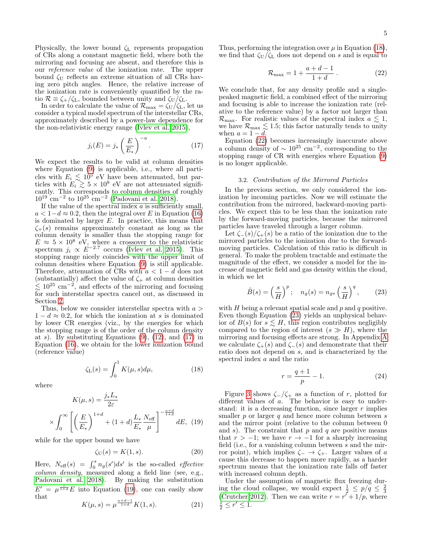Physically, the lower bound  $\zeta$  represents propagation of CRs along a constant magnetic field, where both the mirroring and focusing are absent, and therefore this is our reference value of the ionization rate. The upper bound  $\zeta_U$  reflects an extreme situation of all CRs having zero pitch angles. Hence, the relative increase of the ionization rate is conveniently quantified by the ratio  $\mathcal{R} \equiv \zeta_+/\zeta_L$ , bounded between unity and  $\zeta_U/\zeta_L$ .

In order to calculate the value of  $\mathcal{R}_{\text{max}} = \zeta_U/\zeta_L$ , let us consider a typical model spectrum of the interstellar CRs, approximately described by a power-law dependence for the non-relativistic energy range [\(Ivlev et al. 2015\)](#page-7-24),

<span id="page-4-1"></span>
$$
j_i(E) = j_* \left(\frac{E}{E_*}\right)^{-a}.
$$
 (17)

We expect the results to be valid at column densities where Equation [\(9\)](#page-3-10) is applicable, i.e., where all particles with  $E_i \lesssim 10^5$  eV have been attenuated, but particles with  $E_i \geq 5 \times 10^8$  eV are not attenuated significantly. This corresponds to column densities of roughly  $10^{19}$  cm<sup>-2</sup> to  $10^{25}$  cm<sup>-2</sup> [\(Padovani et al. 2018\)](#page-7-23).

If the value of the spectral index  $a$  is sufficiently small,  $a < 1-d \approx 0.2$ , then the integral over E in Equation [\(16\)](#page-3-9) is dominated by larger  $E$ . In practice, this means that  $\zeta_{+}(s)$  remains approximately constant as long as the column density is smaller than the stopping range for  $E \approx 5 \times 10^8$  eV, where a crossover to the relativistic spectrum  $j_i \propto E^{-2.7}$  occurs [\(Ivlev et al. 2015\)](#page-7-24). This stopping range nicely coincides with the upper limit of column densities where Equation [\(9\)](#page-3-10) is still applicable. Therefore, attenuation of CRs with  $a < 1 - d$  does not (substantially) affect the value of  $\zeta_{+}$  at column densities  $\lesssim 10^{25}$  cm<sup>-2</sup>, and effects of the mirroring and focusing for such interstellar spectra cancel out, as discussed in Section [2.](#page-1-0)

Thus, below we consider interstellar spectra with  $a >$  $1 - d \approx 0.2$ , for which the ionization at s is dominated by lower CR energies (viz., by the energies for which the stopping range is of the order of the column density at s). By substituting Equations  $(9)$ ,  $(12)$ , and  $(17)$  in Equation [\(16\)](#page-3-9), we obtain for the lower ionization bound (reference value)

<span id="page-4-3"></span>
$$
\zeta_{\mathcal{L}}(s) = \int_0^1 K(\mu, s) d\mu,\tag{18}
$$

where

 $\rightarrow$ 

<span id="page-4-2"></span>
$$
K(\mu, s) = \frac{j_* L_*}{2\varepsilon}
$$

$$
\left(\int_0^\infty \left[ \left(\frac{E}{E_*}\right)^{1+d} + (1+d)\frac{L_*}{E_*} \frac{N_{\text{eff}}}{\mu} \right]^{-\frac{a+d}{1+d}} dE, (19)
$$

while for the upper bound we have

$$
\zeta_{\mathcal{U}}(s) = K(1, s). \tag{20}
$$

Here,  $N_{\text{eff}}(s) = \int_0^s n_g(s')ds'$  is the so-called *effective* column density, measured along a field line (see, e.g., [Padovani et al. 2018\)](#page-7-23). By making the substitution  $E' = \mu^{\frac{1}{1+d}} E$  into Equation [\(19\)](#page-4-2), one can easily show that  $a+d-1$ 

$$
K(\mu, s) = \mu^{\frac{a+d-1}{1+d}} K(1, s).
$$
 (21)

Thus, performing the integration over  $\mu$  in Equation [\(18\)](#page-4-3), we find that  $\zeta_U/\zeta_L$  does not depend on s and is equal to

<span id="page-4-4"></span>
$$
\mathcal{R}_{\text{max}} = 1 + \frac{a + d - 1}{1 + d} \,. \tag{22}
$$

We conclude that, for any density profile and a singlepeaked magnetic field, a combined effect of the mirroring and focusing is able to increase the ionization rate (relative to the reference value) by a factor not larger than  $\mathcal{R}_{\text{max}}$ . For realistic values of the spectral index  $a \leq 1$ , we have  $\mathcal{R}_{\text{max}} \lesssim 1.5$ ; this factor naturally tends to unity when  $a = 1 - d$ .

Equation [\(22\)](#page-4-4) becomes increasingly inaccurate above a column density of  $\sim 10^{25}$  cm<sup>-2</sup>, corresponding to the stopping range of CR with energies where Equation [\(9\)](#page-3-10) is no longer applicable.

#### 3.2. Contribution of the Mirrored Particles

<span id="page-4-0"></span>In the previous section, we only considered the ionization by incoming particles. Now we will estimate the contribution from the mirrored, backward-moving particles. We expect this to be less than the ionization rate by the forward-moving particles, because the mirrored particles have traveled through a larger column.

Let  $\zeta_-(s)/\zeta_+(s)$  be a ratio of the ionization due to the mirrored particles to the ionization due to the forwardmoving particles. Calculation of this ratio is difficult in general. To make the problem tractable and estimate the magnitude of the effect, we consider a model for the increase of magnetic field and gas density within the cloud, in which we let

<span id="page-4-5"></span>
$$
\tilde{B}(s) = \left(\frac{s}{H}\right)^p; \quad n_g(s) = n_{g*} \left(\frac{s}{H}\right)^q, \tag{23}
$$

with  $H$  being a relevant spatial scale and  $p$  and  $q$  positive. Even though Equation [\(23\)](#page-4-5) yields an unphysical behavior of  $B(s)$  for  $s \leq H$ , this region contributes negligibly compared to the region of interest  $(s \gg H)$ , where the mirroring and focusing effects are strong. In Appendix [A](#page-6-0) we calculate  $\zeta_{+}(s)$  and  $\zeta_{-}(s)$  and demonstrate that their ratio does not depend on s, and is characterized by the spectral index a and the ratio

<span id="page-4-6"></span>
$$
r = \frac{q+1}{p} - 1.
$$
 (24)

Figure [3](#page-5-2) shows  $\zeta$ -/ $\zeta$ + as a function of r, plotted for different values of a. The behavior is easy to understand: it is a decreasing function, since larger  $r$  implies smaller  $p$  or larger  $q$  and hence more column between  $s$ and the mirror point (relative to the column between 0 and  $s$ ). The constraint that  $p$  and  $q$  are positive means that  $r > -1$ ; we have  $r \to -1$  for a sharply increasing field (i.e., for a vanishing column between s and the mirror point), which implies  $\zeta$ <sup>-</sup>  $\rightarrow \zeta$ <sup>+</sup>. Larger values of a cause this decrease to happen more rapidly, as a harder spectrum means that the ionization rate falls off faster with increased column depth.

Under the assumption of magnetic flux freezing during the cloud collapse, we would expect  $\frac{1}{2} \leq p/q \leq \frac{2}{3}$ [\(Crutcher 2012\)](#page-7-7). Then we can write  $r = r^r + 1/p$ , where  $\frac{1}{2} \leq r' \leq 1.$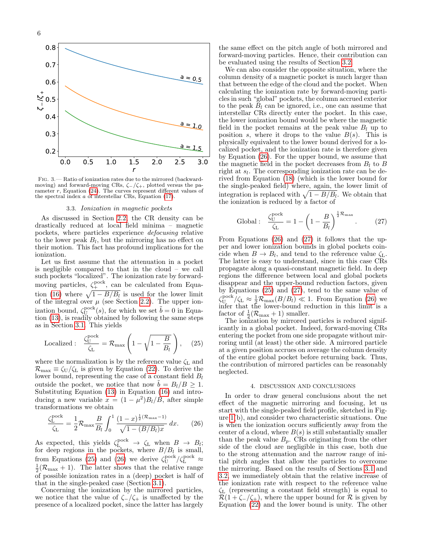

<span id="page-5-2"></span>Fig. 3.— Ratio of ionization rates due to the mirrored (backwardmoving) and forward-moving CRs,  $\zeta$ -/ $\zeta$ +, plotted versus the parameter  $r$ , Equation [\(24\)](#page-4-6). The curves represent different values of the spectral index a of interstellar CRs, Equation [\(17\)](#page-4-1).

#### 3.3. Ionization in magnetic pockets

<span id="page-5-1"></span>As discussed in Section [2.2,](#page-2-1) the CR density can be drastically reduced at local field minima – magnetic pockets, where particles experience defocusing relative to the lower peak  $B_l$ , but the mirroring has no effect on their motion. This fact has profound implications for the ionization.

Let us first assume that the attenuation in a pocket is negligible compared to that in the cloud – we call such pockets "localized". The ionization rate by forwardmoving particles,  $\zeta_{+}^{\text{pock}},$  can be calculated from Equa-tion [\(16\)](#page-3-9) where  $\sqrt{1 - B/B_l}$  is used for the lower limit of the integral over  $\mu$  (see Section [2.2\)](#page-2-1). The upper ionization bound,  $\zeta_{\text{U}}^{\text{pock}}(s)$ , for which we set  $\tilde{b} = 0$  in Equation [\(13\)](#page-3-8), is readily obtained by following the same steps as in Section [3.1.](#page-3-0) This yields

<span id="page-5-3"></span>
$$
\text{Localized}: \quad \frac{\zeta_{\text{U}}^{\text{pock}}}{\zeta_{\text{L}}} = \mathcal{R}_{\text{max}} \left( 1 - \sqrt{1 - \frac{B}{B_l}} \right), \quad (25)
$$

where the normalization is by the reference value  $\zeta_L$  and  $\mathcal{R}_{\text{max}} \equiv \zeta_U/\zeta_L$  is given by Equation [\(22\)](#page-4-4). To derive the lower bound, representing the case of a constant field  $B_l$ outside the pocket, we notice that now  $b = B_l/B \geq 1$ . Substituting Equation [\(13\)](#page-3-8) in Equation [\(16\)](#page-3-9) and introducing a new variable  $x = (1 - \mu^2)B_l/B$ , after simple transformations we obtain

<span id="page-5-4"></span>
$$
\frac{\zeta_{\rm L}^{\rm pocket}}{\zeta_{\rm L}} = \frac{1}{2} \mathcal{R}_{\rm max} \frac{B}{B_l} \int_0^1 \frac{(1-x)^{\frac{1}{2}(\mathcal{R}_{\rm max}-1)}}{\sqrt{1 - (B/B_l)x}} dx. \tag{26}
$$

As expected, this yields  $\zeta_L^{\text{pock}} \to \zeta_L$  when  $B \to B_l$ ; for deep regions in the pockets, where  $B/B<sub>l</sub>$  is small, from Equations [\(25\)](#page-5-3) and [\(26\)](#page-5-4) we derive  $\zeta_{\text{U}}^{\text{pock}}/\zeta_{\text{L}}^{\text{pock}} \approx$  $\frac{1}{2}(\mathcal{R}_{\text{max}} + 1)$ . The latter shows that the relative range of possible ionization rates in a (deep) pocket is half of that in the single-peaked case (Section [3.1\)](#page-3-0).

Concerning the ionization by the mirrored particles, we notice that the value of  $\zeta_-/\zeta_+$  is unaffected by the presence of a localized pocket, since the latter has largely the same effect on the pitch angle of both mirrored and forward-moving particles. Hence, their contribution can be evaluated using the results of Section [3.2.](#page-4-0)

We can also consider the opposite situation, where the column density of a magnetic pocket is much larger than that between the edge of the cloud and the pocket. When calculating the ionization rate by forward-moving particles in such "global" pockets, the column accrued exterior to the peak  $B_l$  can be ignored, i.e., one can assume that interstellar CRs directly enter the pocket. In this case, the lower ionization bound would be where the magnetic field in the pocket remains at the peak value  $B_l$  up to position s, where it drops to the value  $B(s)$ . This is physically equivalent to the lower bound derived for a localized pocket, and the ionization rate is therefore given by Equation [\(26\)](#page-5-4). For the upper bound, we assume that the magnetic field in the pocket decreases from  $B_l$  to B right at  $s_l$ . The corresponding ionization rate can be derived from Equation [\(18\)](#page-4-3) (which is the lower bound for the single-peaked field) where, again, the lower limit of integration is replaced with  $\sqrt{1 - B/B_l}$ . We obtain that the ionization is reduced by a factor of

<span id="page-5-5"></span>Global: 
$$
\frac{\zeta_{\text{U}}^{\text{pock}}}{\zeta_{\text{L}}} = 1 - \left(1 - \frac{B}{B_{l}}\right)^{\frac{1}{2}\mathcal{R}_{\text{max}}}.
$$
 (27)

From Equations [\(26\)](#page-5-4) and [\(27\)](#page-5-5) it follows that the upper and lower ionization bounds in global pockets coincide when  $B \to B_l$ , and tend to the reference value  $\zeta_L$ . The latter is easy to understand, since in this case CRs propagate along a quasi-constant magnetic field. In deep regions the difference between local and global pockets disappear and the upper-bound reduction factors, given by Equations [\(25\)](#page-5-3) and [\(27\)](#page-5-5), tend to the same value of  $\zeta_{\text{U}}^{\text{pock}}/\zeta_{\text{L}} \approx \frac{1}{2} \mathcal{R}_{\text{max}}(B/B_l) \ll 1$ . From Equation [\(26\)](#page-5-4) we infer that the lower-bound reduction in this limit is a factor of  $\frac{1}{2}(\mathcal{R}_{\text{max}} + 1)$  smaller.

The ionization by mirrored particles is reduced significantly in a global pocket. Indeed, forward-moving CRs entering the pocket from one side propagate without mirroring until (at least) the other side. A mirrored particle at a given position accrues on average the column density of the entire global pocket before returning back. Thus, the contribution of mirrored particles can be reasonably neglected.

#### 4. DISCUSSION AND CONCLUSIONS

<span id="page-5-0"></span>In order to draw general conclusions about the net effect of the magnetic mirroring and focusing, let us start with the single-peaked field profile, sketched in Figure [1\(](#page-1-1)b), and consider two characteristic situations. One is when the ionization occurs sufficiently away from the center of a cloud, where  $B(s)$  is still substantially smaller than the peak value  $B_p$ . CRs originating from the other side of the cloud are negligible in this case, both due to the strong attenuation and the narrow range of initial pitch angles that allow the particles to overcome the mirroring. Based on the results of Sections [3.1](#page-3-0) and [3.2,](#page-4-0) we immediately obtain that the relative increase of the ionization rate with respect to the reference value  $\zeta$ <sub>L</sub> (representing a constant field strength) is equal to  $\mathcal{R}(1+\zeta_-/\zeta_+)$ , where the upper bound for  $\mathcal R$  is given by Equation [\(22\)](#page-4-4) and the lower bound is unity. The other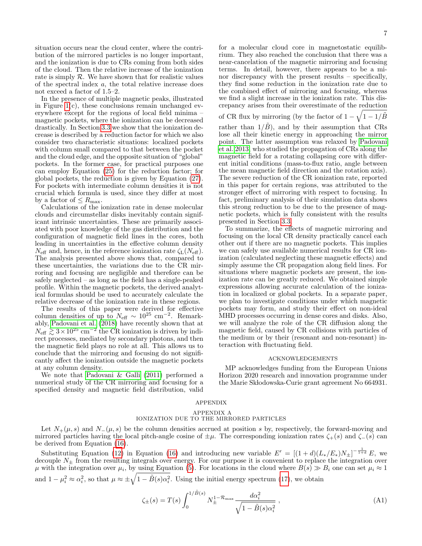situation occurs near the cloud center, where the contribution of the mirrored particles is no longer important, and the ionization is due to CRs coming from both sides of the cloud. Then the relative increase of the ionization rate is simply  $R$ . We have shown that for realistic values of the spectral index a, the total relative increase does not exceed a factor of 1.5–2.

In the presence of multiple magnetic peaks, illustrated in Figure  $1(c)$ , these conclusions remain unchanged everywhere except for the regions of local field minima – magnetic pockets, where the ionization can be decreased drastically. In Section [3.3](#page-5-1) we show that the ionization decrease is described by a reduction factor for which we also consider two characteristic situations: localized pockets with column small compared to that between the pocket and the cloud edge, and the opposite situation of "global" pockets. In the former case, for practical purposes one can employ Equation [\(25\)](#page-5-3) for the reduction factor; for global pockets, the reduction is given by Equation [\(27\)](#page-5-5). For pockets with intermediate column densities it is not crucial which formula is used, since they differ at most by a factor of  $\leq R_{\text{max}}$ .

Calculations of the ionization rate in dense molecular clouds and circumstellar disks inevitably contain significant intrinsic uncertainties. These are primarily associated with poor knowledge of the gas distribution and the configuration of magnetic field lines in the cores, both leading in uncertainties in the effective column density  $N_{\text{eff}}$  and, hence, in the reference ionization rate  $\zeta_L(N_{\text{eff}})$ . The analysis presented above shows that, compared to these uncertainties, the variations due to the CR mirroring and focusing are negligible and therefore can be safely neglected – as long as the field has a single-peaked profile. Within the magnetic pockets, the derived analytical formulas should be used to accurately calculate the relative decrease of the ionization rate in these regions.

The results of this paper were derived for effective column densities of up to  $N_{\text{eff}} \sim 10^{25} \text{ cm}^{-2}$ . Remarkably, [Padovani et al.](#page-7-23) [\(2018\)](#page-7-23) have recently shown that at  $N_{\text{eff}} \gtrsim 3 \times 10^{25} \text{ cm}^{-2}$  the CR ionization is driven by indi $rct$  processes, mediated by secondary photons, and then the magnetic field plays no role at all. This allows us to conclude that the mirroring and focusing do not significantly affect the ionization outside the magnetic pockets at any column density.

We note that [Padovani & Galli](#page-7-13) [\(2011\)](#page-7-13) performed a numerical study of the CR mirroring and focusing for a specified density and magnetic field distribution, valid

for a molecular cloud core in magnetostatic equilibrium. They also reached the conclusion that there was a near-cancelation of the magnetic mirroring and focusing terms. In detail, however, there appears to be a minor discrepancy with the present results – specifically, they find some reduction in the ionization rate due to the combined effect of mirroring and focusing, whereas we find a slight increase in the ionization rate. This discrepancy arises from their overestimate of the reduction

of CR flux by mirroring (by the factor of  $1 - \sqrt{1 - 1/\tilde{B}}$ rather than  $1/\tilde{B}$ , and by their assumption that CRs lose all their kinetic energy in approaching the mirror point. The latter assumption was relaxed by [Padovani](#page-7-6) [et al. 2013,](#page-7-6) who studied the propagation of CRs along the magnetic field for a rotating collapsing core with different initial conditions (mass-to-flux ratio, angle between the mean magnetic field direction and the rotation axis). The severe reduction of the CR ionization rate, reported in this paper for certain regions, was attributed to the stronger effect of mirroring with respect to focusing. In fact, preliminary analysis of their simulation data shows this strong reduction to be due to the presence of magnetic pockets, which is fully consistent with the results presented in Section [3.3.](#page-5-1)

To summarize, the effects of magnetic mirroring and focusing on the local CR density practically cancel each other out if there are no magnetic pockets. This implies we can safely use available numerical results for CR ionization (calculated neglecting these magnetic effects) and simply assume the CR propagation along field lines. For situations where magnetic pockets are present, the ionization rate can be greatly reduced. We obtained simple expressions allowing accurate calculation of the ionization in localized or global pockets. In a separate paper, we plan to investigate conditions under which magnetic pockets may form, and study their effect on non-ideal MHD processes occurring in dense cores and disks. Also, we will analyze the role of the CR diffusion along the magnetic field, caused by CR collisions with particles of the medium or by their (resonant and non-resonant) interaction with fluctuating field.

### ACKNOWLEDGEMENTS

MP acknowledges funding from the European Unions Horizon 2020 research and innovation programme under the Marie Skłodowska-Curie grant agreement No 664931.

#### APPENDIX

#### APPENDIX A

# IONIZATION DUE TO THE MIRRORED PARTICLES

<span id="page-6-0"></span>Let  $N_+(\mu, s)$  and  $N_-(\mu, s)$  be the column densities accrued at position s by, respectively, the forward-moving and mirrored particles having the local pitch-angle cosine of  $\pm \mu$ . The corresponding ionization rates  $\zeta_+(s)$  and  $\zeta_-(s)$  can be derived from Equation [\(16\)](#page-3-9).

Substituting Equation [\(12\)](#page-3-7) in Equation [\(16\)](#page-3-9) and introducing new variable  $E' = [(1+d)(L_*/E_*)N_{\pm}]^{-\frac{1}{1+d}}E$ , we decouple  $N_{\pm}$  from the resulting integrals over energy. For our purpose it is convenient to replace the integration over  $\mu$  with the integration over  $\mu_i$ , by using Equation [\(5\)](#page-1-7). For locations in the cloud where  $B(s) \gg B_i$  one can set  $\mu_i \approx 1$ and  $1 - \mu_i^2 \approx \alpha_i^2$ , so that  $\mu \approx \pm \sqrt{1 - \tilde{B}(s)\alpha_i^2}$ . Using the initial energy spectrum [\(17\)](#page-4-1), we obtain

<span id="page-6-1"></span>
$$
\zeta_{\pm}(s) = T(s) \int_0^{1/\tilde{B}(s)} N_{\pm}^{1 - \mathcal{R}_{\text{max}}} \frac{d\alpha_i^2}{\sqrt{1 - \tilde{B}(s)\alpha_i^2}} ,\qquad (A1)
$$